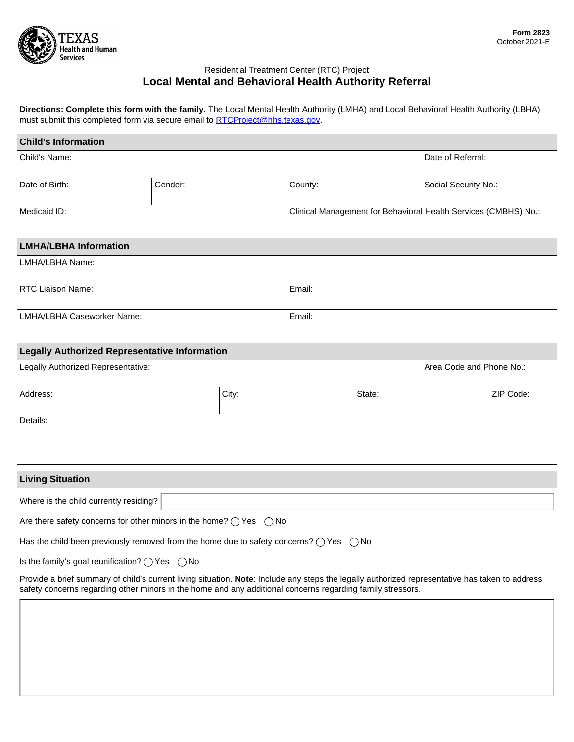

## Residential Treatment Center (RTC) Project **Local Mental and Behavioral Health Authority Referral**

**Directions: Complete this form with the family.** The Local Mental Health Authority (LMHA) and Local Behavioral Health Authority (LBHA) must submit this completed form via secure email to [RTCProject@hhs.texas.gov.](mailto:RTCProject@hhs.texas.gov)

| <b>Child's Information</b>                                                                                                                                                                                                                                    |         |  |                                                                 |        |                          |           |  |  |
|---------------------------------------------------------------------------------------------------------------------------------------------------------------------------------------------------------------------------------------------------------------|---------|--|-----------------------------------------------------------------|--------|--------------------------|-----------|--|--|
| Child's Name:                                                                                                                                                                                                                                                 |         |  |                                                                 |        | Date of Referral:        |           |  |  |
| Date of Birth:                                                                                                                                                                                                                                                | Gender: |  | County:<br>$\blacktriangleright$                                |        | Social Security No.:     |           |  |  |
| Medicaid ID:                                                                                                                                                                                                                                                  |         |  | Clinical Management for Behavioral Health Services (CMBHS) No.: |        |                          |           |  |  |
| <b>LMHA/LBHA Information</b>                                                                                                                                                                                                                                  |         |  |                                                                 |        |                          |           |  |  |
| LMHA/LBHA Name:                                                                                                                                                                                                                                               |         |  |                                                                 |        |                          |           |  |  |
| <b>RTC Liaison Name:</b>                                                                                                                                                                                                                                      |         |  | Email:                                                          |        |                          |           |  |  |
| LMHA/LBHA Caseworker Name:                                                                                                                                                                                                                                    |         |  | Email:                                                          |        |                          |           |  |  |
| <b>Legally Authorized Representative Information</b>                                                                                                                                                                                                          |         |  |                                                                 |        |                          |           |  |  |
| Legally Authorized Representative:                                                                                                                                                                                                                            |         |  |                                                                 |        | Area Code and Phone No.: |           |  |  |
| Address:                                                                                                                                                                                                                                                      | City:   |  |                                                                 | State: |                          | ZIP Code: |  |  |
| Details:                                                                                                                                                                                                                                                      |         |  |                                                                 |        |                          |           |  |  |
|                                                                                                                                                                                                                                                               |         |  |                                                                 |        |                          |           |  |  |
| <b>Living Situation</b>                                                                                                                                                                                                                                       |         |  |                                                                 |        |                          |           |  |  |
| $\mathbf{r}$<br>Where is the child currently residing?                                                                                                                                                                                                        |         |  |                                                                 |        |                          |           |  |  |
| Are there safety concerns for other minors in the home? $\bigcirc$ Yes $\bigcirc$ No                                                                                                                                                                          |         |  |                                                                 |        |                          |           |  |  |
| Has the child been previously removed from the home due to safety concerns? $\bigcirc$ Yes $\bigcirc$ No                                                                                                                                                      |         |  |                                                                 |        |                          |           |  |  |
| Is the family's goal reunification? $\bigcirc$ Yes $\bigcirc$ No                                                                                                                                                                                              |         |  |                                                                 |        |                          |           |  |  |
| Provide a brief summary of child's current living situation. Note: Include any steps the legally authorized representative has taken to address<br>safety concerns regarding other minors in the home and any additional concerns regarding family stressors. |         |  |                                                                 |        |                          |           |  |  |
|                                                                                                                                                                                                                                                               |         |  |                                                                 |        |                          |           |  |  |
|                                                                                                                                                                                                                                                               |         |  |                                                                 |        |                          |           |  |  |
|                                                                                                                                                                                                                                                               |         |  |                                                                 |        |                          |           |  |  |
|                                                                                                                                                                                                                                                               |         |  |                                                                 |        |                          |           |  |  |
|                                                                                                                                                                                                                                                               |         |  |                                                                 |        |                          |           |  |  |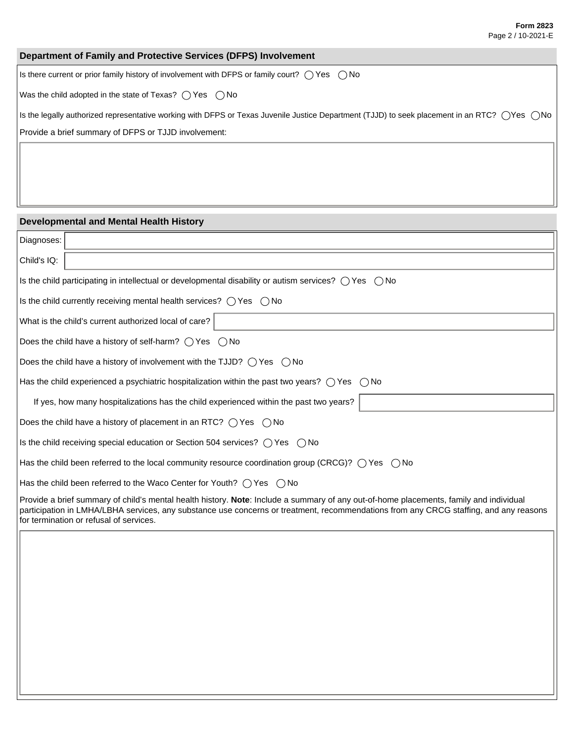## **Department of Family and Protective Services (DFPS) Involvement**

Is there current or prior family history of involvement with DFPS or family court?  $\bigcirc$  Yes  $\bigcirc$  No

Was the child adopted in the state of Texas?  $\bigcirc$  Yes  $\bigcirc$  No

Is the legally authorized representative working with DFPS or Texas Juvenile Justice Department (TJJD) to seek placement in an RTC? (Yes  $\bigcirc$ No

Provide a brief summary of DFPS or TJJD involvement:

## **Developmental and Mental Health History**

| Diagnoses:                                                                                                                                                                                                                                                                                                                 |  |  |  |  |  |
|----------------------------------------------------------------------------------------------------------------------------------------------------------------------------------------------------------------------------------------------------------------------------------------------------------------------------|--|--|--|--|--|
| Child's IQ:                                                                                                                                                                                                                                                                                                                |  |  |  |  |  |
| Is the child participating in intellectual or developmental disability or autism services? $\bigcirc$ Yes $\bigcirc$ No                                                                                                                                                                                                    |  |  |  |  |  |
| Is the child currently receiving mental health services? $\bigcirc$ Yes $\bigcirc$ No                                                                                                                                                                                                                                      |  |  |  |  |  |
| What is the child's current authorized local of care?                                                                                                                                                                                                                                                                      |  |  |  |  |  |
| Does the child have a history of self-harm? $\bigcirc$ Yes $\bigcirc$ No                                                                                                                                                                                                                                                   |  |  |  |  |  |
| Does the child have a history of involvement with the TJJD? $\bigcirc$ Yes $\bigcirc$ No                                                                                                                                                                                                                                   |  |  |  |  |  |
| Has the child experienced a psychiatric hospitalization within the past two years? $\bigcirc$ Yes $\bigcirc$ No                                                                                                                                                                                                            |  |  |  |  |  |
| If yes, how many hospitalizations has the child experienced within the past two years?                                                                                                                                                                                                                                     |  |  |  |  |  |
| Does the child have a history of placement in an RTC? $\bigcirc$ Yes $\bigcirc$ No                                                                                                                                                                                                                                         |  |  |  |  |  |
| Is the child receiving special education or Section 504 services? $\bigcirc$ Yes $\bigcirc$ No                                                                                                                                                                                                                             |  |  |  |  |  |
| Has the child been referred to the local community resource coordination group (CRCG)? $\bigcirc$ Yes $\bigcirc$ No                                                                                                                                                                                                        |  |  |  |  |  |
| Has the child been referred to the Waco Center for Youth? $\bigcap$ Yes $\bigcap$ No                                                                                                                                                                                                                                       |  |  |  |  |  |
| Provide a brief summary of child's mental health history. Note: Include a summary of any out-of-home placements, family and individual<br>participation in LMHA/LBHA services, any substance use concerns or treatment, recommendations from any CRCG staffing, and any reasons<br>for termination or refusal of services. |  |  |  |  |  |
|                                                                                                                                                                                                                                                                                                                            |  |  |  |  |  |
|                                                                                                                                                                                                                                                                                                                            |  |  |  |  |  |
|                                                                                                                                                                                                                                                                                                                            |  |  |  |  |  |
|                                                                                                                                                                                                                                                                                                                            |  |  |  |  |  |